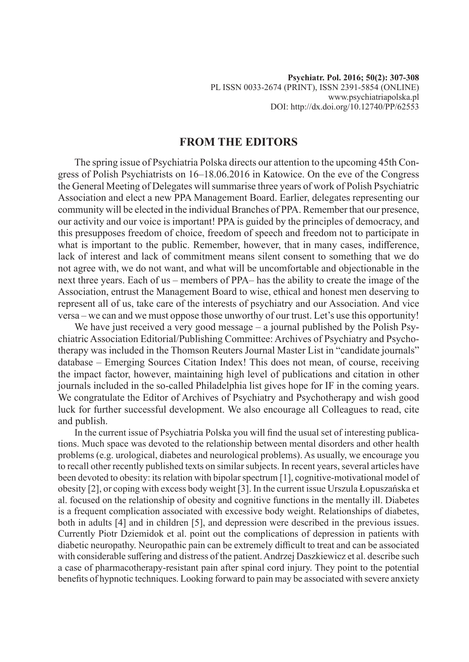## **FROM THE EDITORS**

The spring issue of Psychiatria Polska directs our attention to the upcoming 45th Congress of Polish Psychiatrists on 16–18.06.2016 in Katowice. On the eve of the Congress the General Meeting of Delegates will summarise three years of work of Polish Psychiatric Association and elect a new PPA Management Board. Earlier, delegates representing our community will be elected in the individual Branches of PPA. Remember that our presence, our activity and our voice is important! PPA is guided by the principles of democracy, and this presupposes freedom of choice, freedom of speech and freedom not to participate in what is important to the public. Remember, however, that in many cases, indifference, lack of interest and lack of commitment means silent consent to something that we do not agree with, we do not want, and what will be uncomfortable and objectionable in the next three years. Each of us – members of PPA– has the ability to create the image of the Association, entrust the Management Board to wise, ethical and honest men deserving to represent all of us, take care of the interests of psychiatry and our Association. And vice versa – we can and we must oppose those unworthy of our trust. Let's use this opportunity!

We have just received a very good message – a journal published by the Polish Psychiatric Association Editorial/Publishing Committee: Archives of Psychiatry and Psychotherapy was included in the Thomson Reuters Journal Master List in "candidate journals" database – Emerging Sources Citation Index! This does not mean, of course, receiving the impact factor, however, maintaining high level of publications and citation in other journals included in the so-called Philadelphia list gives hope for IF in the coming years. We congratulate the Editor of Archives of Psychiatry and Psychotherapy and wish good luck for further successful development. We also encourage all Colleagues to read, cite and publish.

In the current issue of Psychiatria Polska you will find the usual set of interesting publications. Much space was devoted to the relationship between mental disorders and other health problems (e.g. urological, diabetes and neurological problems). As usually, we encourage you to recall other recently published texts on similar subjects. In recent years, several articles have been devoted to obesity: its relation with bipolar spectrum [1], cognitive-motivational model of obesity [2], or coping with excess body weight [3]. In the current issue Urszula Łopuszańska et al. focused on the relationship of obesity and cognitive functions in the mentally ill. Diabetes is a frequent complication associated with excessive body weight. Relationships of diabetes, both in adults [4] and in children [5], and depression were described in the previous issues. Currently Piotr Dziemidok et al. point out the complications of depression in patients with diabetic neuropathy. Neuropathic pain can be extremely difficult to treat and can be associated with considerable suffering and distress of the patient. Andrzej Daszkiewicz et al. describe such a case of pharmacotherapy-resistant pain after spinal cord injury. They point to the potential benefits of hypnotic techniques. Looking forward to pain may be associated with severe anxiety